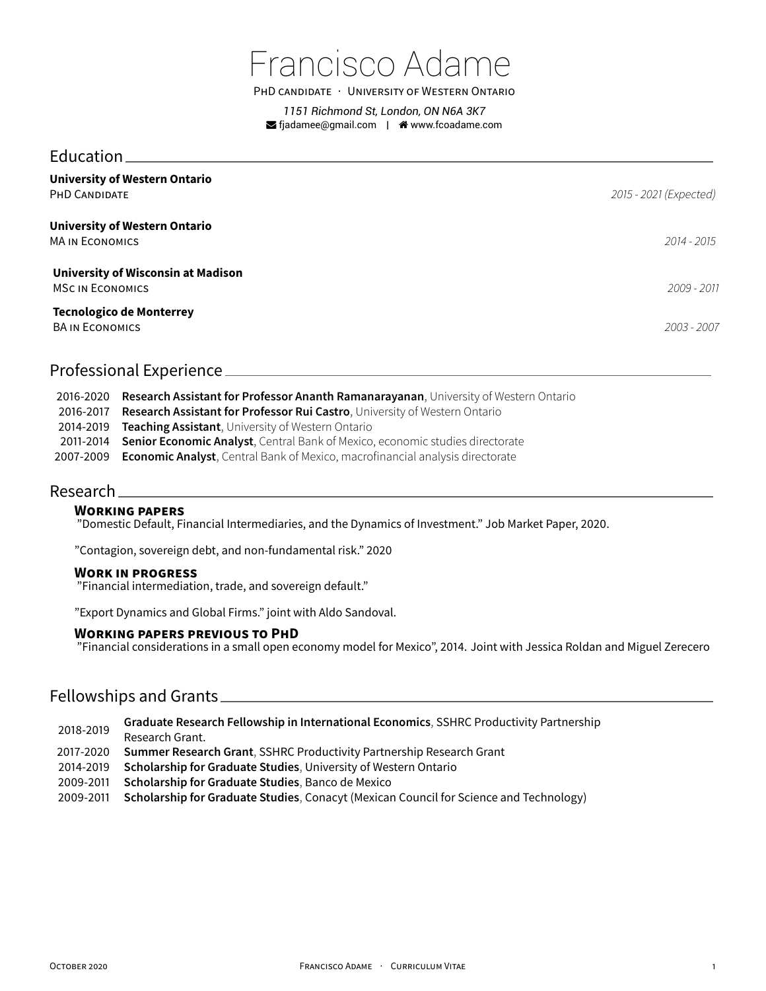

PHD CANDIDATE · UNIVERSITY OF WESTERN ONTARIO

*1151 Richmond St, London, ON N6A 3K7* **S** fjadamee@gmail.com | <sup>★</sup> www.fcoadame.com

### Education

| <b>University of Western Ontario</b><br>PHD CANDIDATE                | 2015 - 2021 (Expected) |
|----------------------------------------------------------------------|------------------------|
| <b>University of Western Ontario</b><br><b>MA IN ECONOMICS</b>       | 2014 - 2015            |
| <b>University of Wisconsin at Madison</b><br><b>MSC IN ECONOMICS</b> | 2009 - 2011            |
| <b>Tecnologico de Monterrey</b><br><b>BA IN ECONOMICS</b>            | 2003 - 2007            |

## Professional Experience

| 2016-2020 Research Assistant for Professor Ananth Ramanarayanan, University of Western Ontario |
|------------------------------------------------------------------------------------------------|
| 2016-2017 Research Assistant for Professor Rui Castro, University of Western Ontario           |
| 2014-2019 <b>Teaching Assistant</b> , University of Western Ontario                            |
| 2011-2014 Senior Economic Analyst, Central Bank of Mexico, economic studies directorate        |
| 2007-2009 Economic Analyst, Central Bank of Mexico, macrofinancial analysis directorate        |

### Research

#### **WORKING PAPERS**

"Domestic Default, Financial Intermediaries, and the Dynamics of Investment." Job Market Paper, 2020.

"Contagion, sovereign debt, and non-fundamental risk." 2020

#### **WORK IN PROGRESS**

"Financial intermediation, trade, and sovereign default."

"Export Dynamics and Global Firms." joint with Aldo Sandoval.

#### **WORKING PAPERS PREVIOUS TO PHD**

"Financial considerations in a small open economy model for Mexico", 2014. Joint with Jessica Roldan and Miguel Zerecero

## Fellowships and Grants

- 2018-2019 **Graduate Research Fellowship in International Economics**, SSHRC Productivity Partnership Research Grant.
- 2017-2020 **Summer Research Grant**, SSHRC Productivity Partnership Research Grant
- 2014-2019 **Scholarship for Graduate Studies**, University of Western Ontario
- 2009-2011 **Scholarship for Graduate Studies**, Banco de Mexico
- 2009-2011 **Scholarship for Graduate Studies**, Conacyt (Mexican Council for Science and Technology)